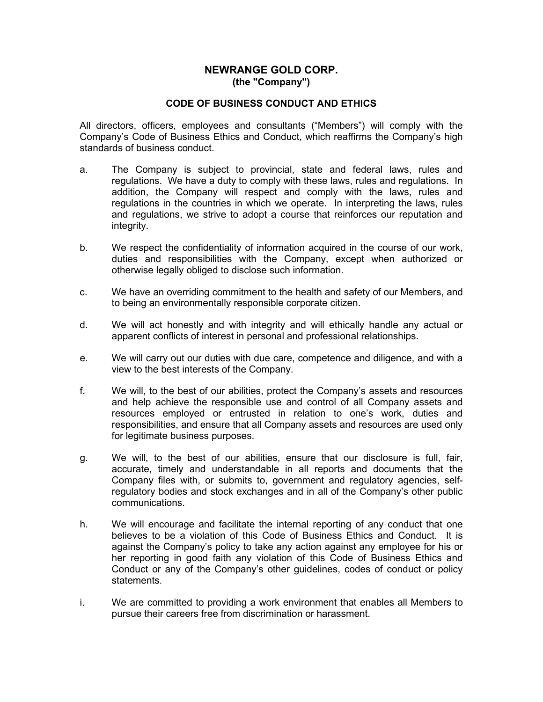## **NEWRANGE GOLD CORP. (the "Company")**

## **CODE OF BUSINESS CONDUCT AND ETHICS**

All directors, officers, employees and consultants ("Members") will comply with the Company's Code of Business Ethics and Conduct, which reaffirms the Company's high standards of business conduct.

- a. The Company is subject to provincial, state and federal laws, rules and regulations. We have a duty to comply with these laws, rules and regulations. In addition, the Company will respect and comply with the laws, rules and regulations in the countries in which we operate. In interpreting the laws, rules and regulations, we strive to adopt a course that reinforces our reputation and integrity.
- b. We respect the confidentiality of information acquired in the course of our work, duties and responsibilities with the Company, except when authorized or otherwise legally obliged to disclose such information.
- c. We have an overriding commitment to the health and safety of our Members, and to being an environmentally responsible corporate citizen.
- d. We will act honestly and with integrity and will ethically handle any actual or apparent conflicts of interest in personal and professional relationships.
- e. We will carry out our duties with due care, competence and diligence, and with a view to the best interests of the Company.
- f. We will, to the best of our abilities, protect the Company's assets and resources and help achieve the responsible use and control of all Company assets and resources employed or entrusted in relation to one's work, duties and responsibilities, and ensure that all Company assets and resources are used only for legitimate business purposes.
- g. We will, to the best of our abilities, ensure that our disclosure is full, fair, accurate, timely and understandable in all reports and documents that the Company files with, or submits to, government and regulatory agencies, selfregulatory bodies and stock exchanges and in all of the Company's other public communications.
- h. We will encourage and facilitate the internal reporting of any conduct that one believes to be a violation of this Code of Business Ethics and Conduct. It is against the Company's policy to take any action against any employee for his or her reporting in good faith any violation of this Code of Business Ethics and Conduct or any of the Company's other guidelines, codes of conduct or policy statements.
- i. We are committed to providing a work environment that enables all Members to pursue their careers free from discrimination or harassment.